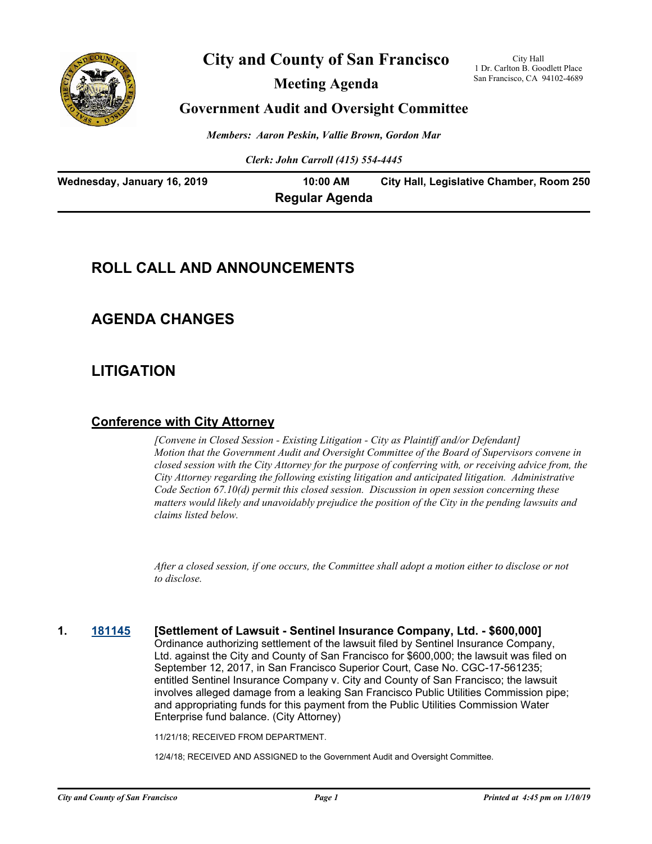

# **City and County of San Francisco**

**Meeting Agenda**

City Hall 1 Dr. Carlton B. Goodlett Place San Francisco, CA 94102-4689

### **Government Audit and Oversight Committee**

*Members: Aaron Peskin, Vallie Brown, Gordon Mar*

*Clerk: John Carroll (415) 554-4445*

| Wednesday, January 16, 2019 | 10:00 AM              | City Hall, Legislative Chamber, Room 250 |
|-----------------------------|-----------------------|------------------------------------------|
|                             | <b>Regular Agenda</b> |                                          |

# **ROLL CALL AND ANNOUNCEMENTS**

## **AGENDA CHANGES**

# **LITIGATION**

### **Conference with City Attorney**

*[Convene in Closed Session - Existing Litigation - City as Plaintiff and/or Defendant] Motion that the Government Audit and Oversight Committee of the Board of Supervisors convene in closed session with the City Attorney for the purpose of conferring with, or receiving advice from, the City Attorney regarding the following existing litigation and anticipated litigation. Administrative Code Section 67.10(d) permit this closed session. Discussion in open session concerning these matters would likely and unavoidably prejudice the position of the City in the pending lawsuits and claims listed below.*

*After a closed session, if one occurs, the Committee shall adopt a motion either to disclose or not to disclose.*

**1. [181145](http://sfgov.legistar.com/gateway.aspx?m=l&id=34014) [Settlement of Lawsuit - Sentinel Insurance Company, Ltd. - \$600,000]** Ordinance authorizing settlement of the lawsuit filed by Sentinel Insurance Company, Ltd. against the City and County of San Francisco for \$600,000; the lawsuit was filed on September 12, 2017, in San Francisco Superior Court, Case No. CGC-17-561235; entitled Sentinel Insurance Company v. City and County of San Francisco; the lawsuit involves alleged damage from a leaking San Francisco Public Utilities Commission pipe; and appropriating funds for this payment from the Public Utilities Commission Water Enterprise fund balance. (City Attorney)

11/21/18; RECEIVED FROM DEPARTMENT.

12/4/18; RECEIVED AND ASSIGNED to the Government Audit and Oversight Committee.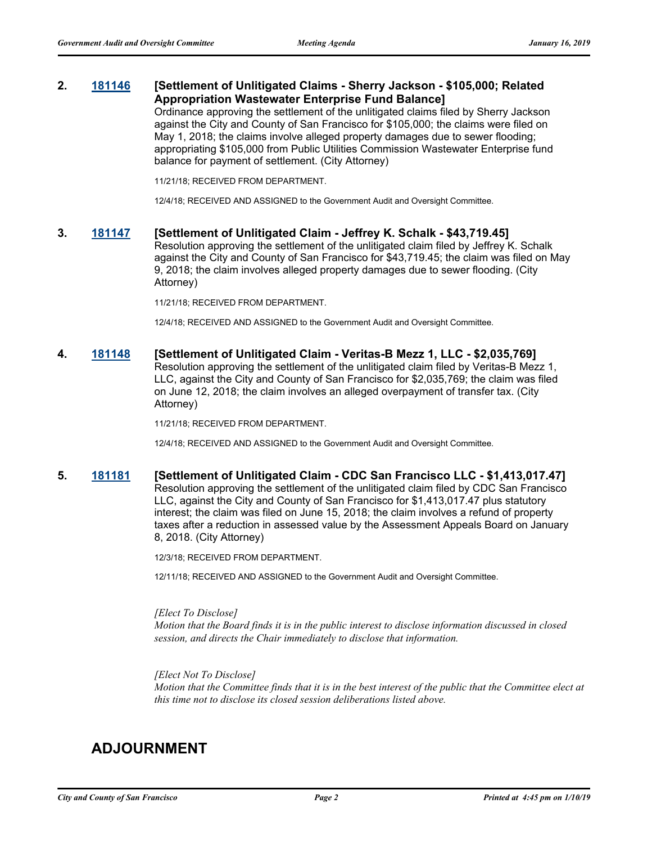#### **2. [181146](http://sfgov.legistar.com/gateway.aspx?m=l&id=34015) [Settlement of Unlitigated Claims - Sherry Jackson - \$105,000; Related Appropriation Wastewater Enterprise Fund Balance]**

Ordinance approving the settlement of the unlitigated claims filed by Sherry Jackson against the City and County of San Francisco for \$105,000; the claims were filed on May 1, 2018; the claims involve alleged property damages due to sewer flooding; appropriating \$105,000 from Public Utilities Commission Wastewater Enterprise fund balance for payment of settlement. (City Attorney)

11/21/18; RECEIVED FROM DEPARTMENT.

12/4/18; RECEIVED AND ASSIGNED to the Government Audit and Oversight Committee.

#### **3. [181147](http://sfgov.legistar.com/gateway.aspx?m=l&id=34016) [Settlement of Unlitigated Claim - Jeffrey K. Schalk - \$43,719.45]**

Resolution approving the settlement of the unlitigated claim filed by Jeffrey K. Schalk against the City and County of San Francisco for \$43,719.45; the claim was filed on May 9, 2018; the claim involves alleged property damages due to sewer flooding. (City Attorney)

11/21/18; RECEIVED FROM DEPARTMENT.

12/4/18; RECEIVED AND ASSIGNED to the Government Audit and Oversight Committee.

#### **4. [181148](http://sfgov.legistar.com/gateway.aspx?m=l&id=34017) [Settlement of Unlitigated Claim - Veritas-B Mezz 1, LLC - \$2,035,769]**

Resolution approving the settlement of the unlitigated claim filed by Veritas-B Mezz 1, LLC, against the City and County of San Francisco for \$2,035,769; the claim was filed on June 12, 2018; the claim involves an alleged overpayment of transfer tax. (City Attorney)

11/21/18; RECEIVED FROM DEPARTMENT.

12/4/18; RECEIVED AND ASSIGNED to the Government Audit and Oversight Committee.

#### **5. [181181](http://sfgov.legistar.com/gateway.aspx?m=l&id=34050) [Settlement of Unlitigated Claim - CDC San Francisco LLC - \$1,413,017.47]** Resolution approving the settlement of the unlitigated claim filed by CDC San Francisco LLC, against the City and County of San Francisco for \$1,413,017.47 plus statutory interest; the claim was filed on June 15, 2018; the claim involves a refund of property taxes after a reduction in assessed value by the Assessment Appeals Board on January

12/3/18; RECEIVED FROM DEPARTMENT.

12/11/18; RECEIVED AND ASSIGNED to the Government Audit and Oversight Committee.

#### *[Elect To Disclose]*

8, 2018. (City Attorney)

*Motion that the Board finds it is in the public interest to disclose information discussed in closed session, and directs the Chair immediately to disclose that information.*

#### *[Elect Not To Disclose]*

*Motion that the Committee finds that it is in the best interest of the public that the Committee elect at this time not to disclose its closed session deliberations listed above.*

# **ADJOURNMENT**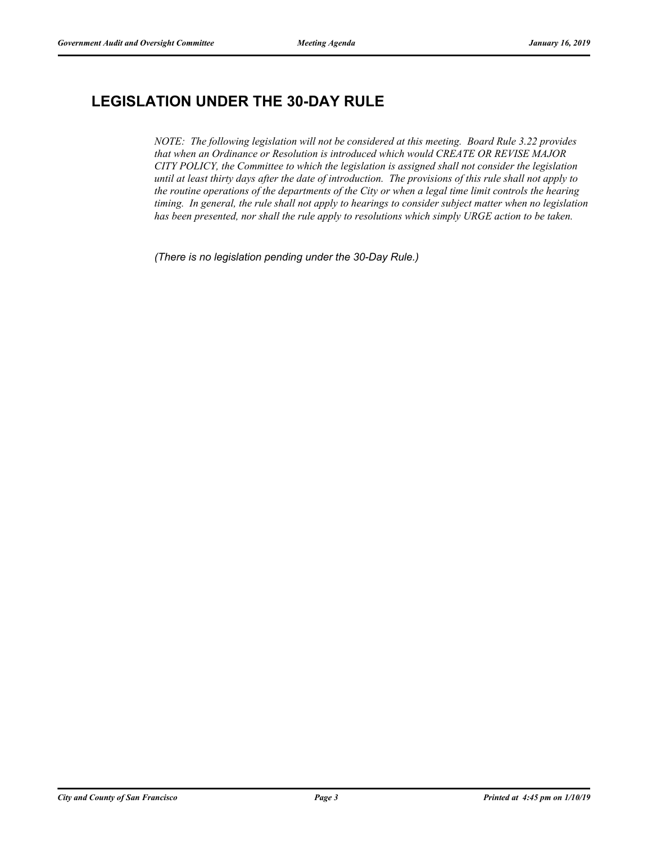# **LEGISLATION UNDER THE 30-DAY RULE**

*NOTE: The following legislation will not be considered at this meeting. Board Rule 3.22 provides that when an Ordinance or Resolution is introduced which would CREATE OR REVISE MAJOR CITY POLICY, the Committee to which the legislation is assigned shall not consider the legislation until at least thirty days after the date of introduction. The provisions of this rule shall not apply to the routine operations of the departments of the City or when a legal time limit controls the hearing timing. In general, the rule shall not apply to hearings to consider subject matter when no legislation has been presented, nor shall the rule apply to resolutions which simply URGE action to be taken.*

*(There is no legislation pending under the 30-Day Rule.)*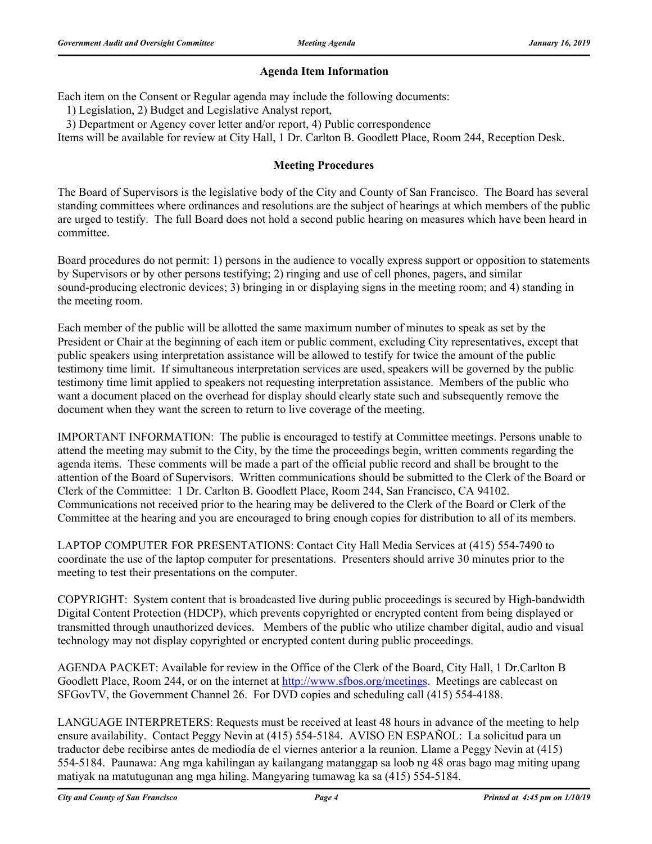#### **Agenda Item Information**

Each item on the Consent or Regular agenda may include the following documents:

1) Legislation, 2) Budget and Legislative Analyst report,

3) Department or Agency cover letter and/or report, 4) Public correspondence

Items will be available for review at City Hall, 1 Dr. Carlton B. Goodlett Place, Room 244, Reception Desk.

#### **Meeting Procedures**

The Board of Supervisors is the legislative body of the City and County of San Francisco. The Board has several standing committees where ordinances and resolutions are the subject of hearings at which members of the public are urged to testify. The full Board does not hold a second public hearing on measures which have been heard in committee.

Board procedures do not permit: 1) persons in the audience to vocally express support or opposition to statements by Supervisors or by other persons testifying; 2) ringing and use of cell phones, pagers, and similar sound-producing electronic devices; 3) bringing in or displaying signs in the meeting room; and 4) standing in the meeting room.

Each member of the public will be allotted the same maximum number of minutes to speak as set by the President or Chair at the beginning of each item or public comment, excluding City representatives, except that public speakers using interpretation assistance will be allowed to testify for twice the amount of the public testimony time limit. If simultaneous interpretation services are used, speakers will be governed by the public testimony time limit applied to speakers not requesting interpretation assistance. Members of the public who want a document placed on the overhead for display should clearly state such and subsequently remove the document when they want the screen to return to live coverage of the meeting.

IMPORTANT INFORMATION: The public is encouraged to testify at Committee meetings. Persons unable to attend the meeting may submit to the City, by the time the proceedings begin, written comments regarding the agenda items. These comments will be made a part of the official public record and shall be brought to the attention of the Board of Supervisors. Written communications should be submitted to the Clerk of the Board or Clerk of the Committee: 1 Dr. Carlton B. Goodlett Place, Room 244, San Francisco, CA 94102. Communications not received prior to the hearing may be delivered to the Clerk of the Board or Clerk of the Committee at the hearing and you are encouraged to bring enough copies for distribution to all of its members.

LAPTOP COMPUTER FOR PRESENTATIONS: Contact City Hall Media Services at (415) 554-7490 to coordinate the use of the laptop computer for presentations. Presenters should arrive 30 minutes prior to the meeting to test their presentations on the computer.

COPYRIGHT: System content that is broadcasted live during public proceedings is secured by High-bandwidth Digital Content Protection (HDCP), which prevents copyrighted or encrypted content from being displayed or transmitted through unauthorized devices. Members of the public who utilize chamber digital, audio and visual technology may not display copyrighted or encrypted content during public proceedings.

AGENDA PACKET: Available for review in the Office of the Clerk of the Board, City Hall, 1 Dr.Carlton B Goodlett Place, Room 244, or on the internet at http://www.sfbos.org/meetings. Meetings are cablecast on SFGovTV, the Government Channel 26. For DVD copies and scheduling call (415) 554-4188.

LANGUAGE INTERPRETERS: Requests must be received at least 48 hours in advance of the meeting to help ensure availability. Contact Peggy Nevin at (415) 554-5184. AVISO EN ESPAÑOL: La solicitud para un traductor debe recibirse antes de mediodía de el viernes anterior a la reunion. Llame a Peggy Nevin at (415) 554-5184. Paunawa: Ang mga kahilingan ay kailangang matanggap sa loob ng 48 oras bago mag miting upang matiyak na matutugunan ang mga hiling. Mangyaring tumawag ka sa (415) 554-5184.